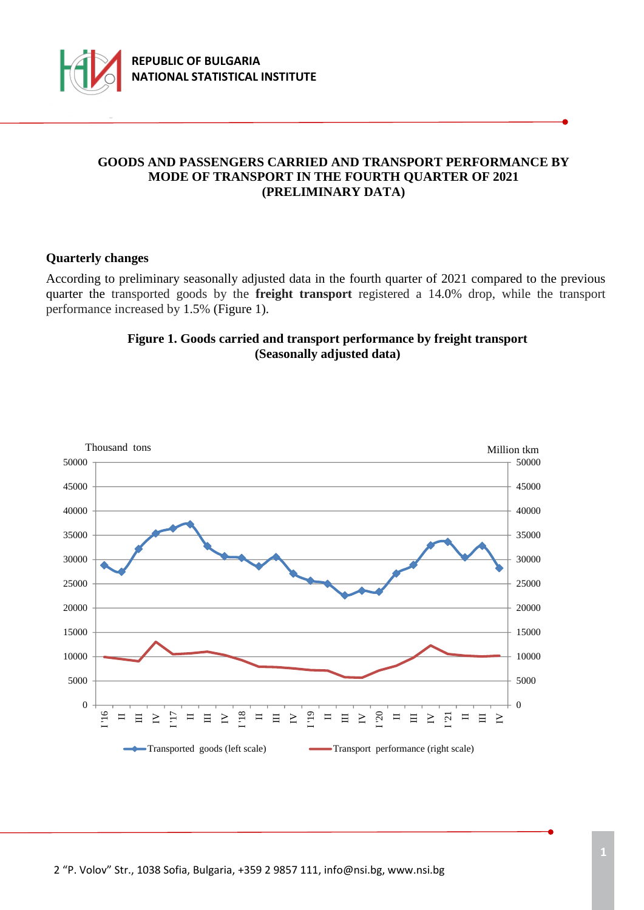

## **GOODS AND PASSENGERS CARRIED AND TRANSPORT PERFORMANCE BY MODE OF TRANSPORT IN THE FOURTH QUARTER OF 2021 (PRELIMINARY DATA)**

#### **Quarterly changes**

According to preliminary seasonally adjusted data in the fourth quarter of 2021 compared to the previous quarter the transported goods by the **freight transport** registered a 14.0% drop, while the transport performance increased by 1.5% (Figure 1).

#### **Figure 1. Goods carried and transport performance by freight transport (Seasonally adjusted data)**

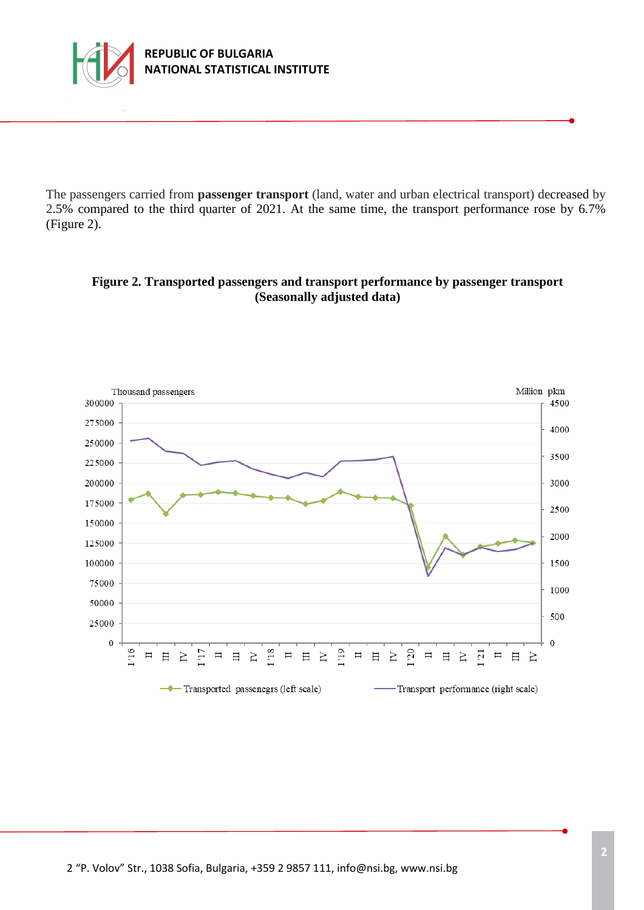

The passengers carried from **passenger transport** (land, water and urban electrical transport) decreased by 2.5% compared to the third quarter of 2021. At the same time, the transport performance rose by 6.7% (Figure 2).

# **Figure 2. Transported passengers and transport performance by passenger transport (Seasonally adjusted data)**

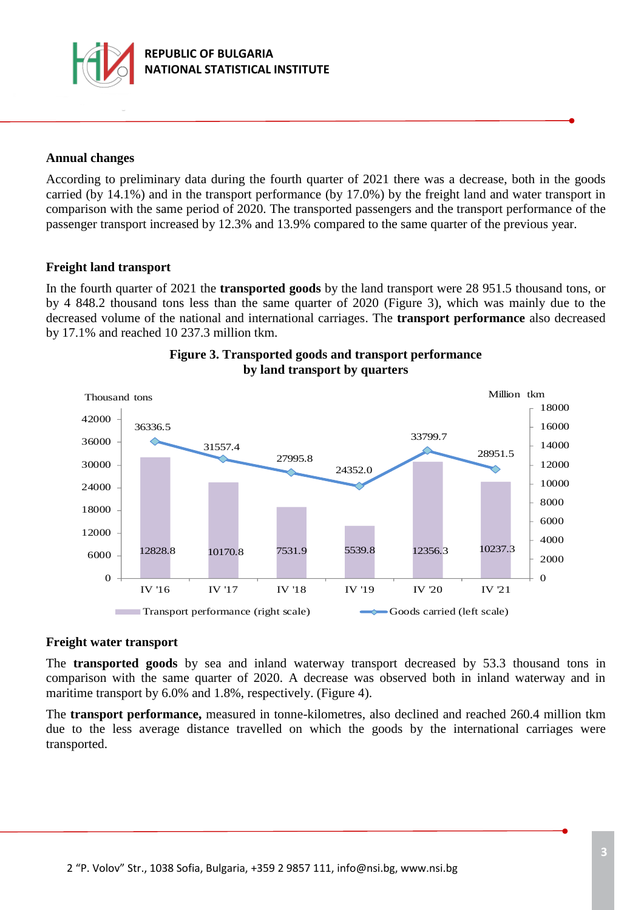

### **Annual changes**

According to preliminary data during the fourth quarter of 2021 there was a decrease, both in the goods carried (by 14.1%) and in the transport performance (by 17.0%) by the freight land and water transport in comparison with the same period of 2020. The transported passengers and the transport performance of the passenger transport increased by 12.3% and 13.9% compared to the same quarter of the previous year.

#### **Freight land transport**

In the fourth quarter of 2021 the **transported goods** by the land transport were 28 951.5 thousand tons, or by 4 848.2 thousand tons less than the same quarter of 2020 (Figure 3), which was mainly due to the decreased volume of the national and international carriages. The **transport performance** also decreased by 17.1% and reached 10 237.3 million tkm.



### **Figure 3. Transported goods and transport performance by land transport by quarters**

#### **Freight water transport**

The **transported goods** by sea and inland waterway transport decreased by 53.3 thousand tons in comparison with the same quarter of 2020. A decrease was observed both in inland waterway and in maritime transport by 6.0% and 1.8%, respectively. (Figure 4).

The **transport performance,** measured in tonne-kilometres, also declined and reached 260.4 million tkm due to the less average distance travelled on which the goods by the international carriages were transported.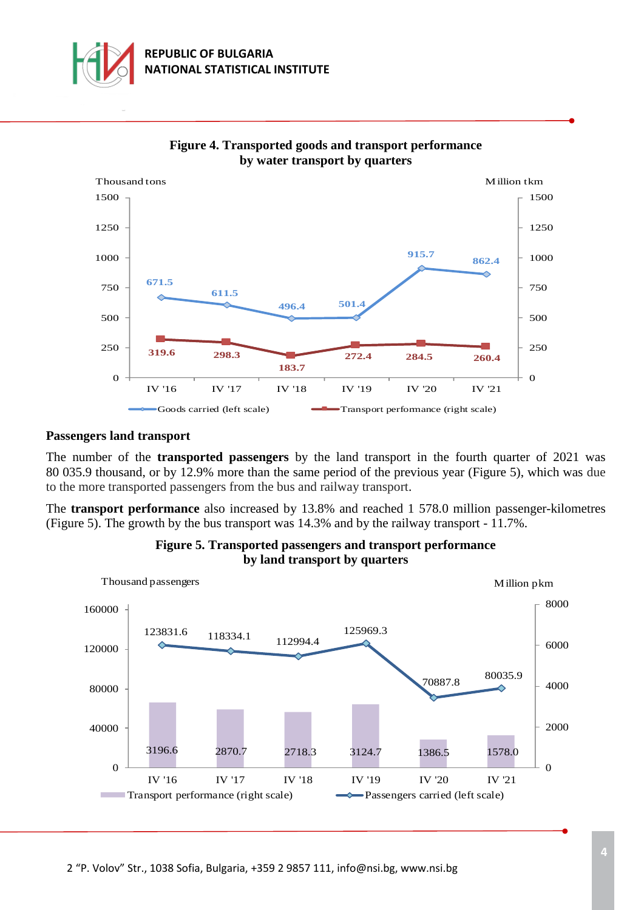





#### **Passengers land transport**

The number of the **transported passengers** by the land transport in the fourth quarter of 2021 was 80 035.9 thousand, or by 12.9% more than the same period of the previous year (Figure 5), which was due to the more transported passengers from the bus and railway transport.

The **transport performance** also increased by 13.8% and reached 1 578.0 million passenger-kilometres (Figure 5). The growth by the bus transport was 14.3% and by the railway transport - 11.7%.



#### **Figure 5. Transported passengers and transport performance by land transport by quarters**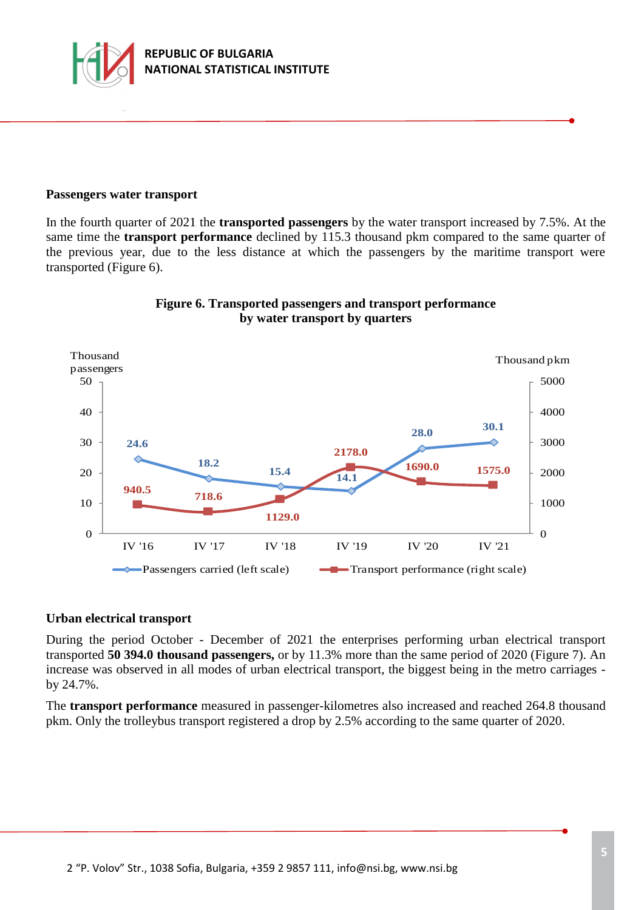

#### **Passengers water transport**

In the fourth quarter of 2021 the **transported passengers** by the water transport increased by 7.5%. At the same time the **transport performance** declined by 115.3 thousand pkm compared to the same quarter of the previous year, due to the less distance at which the passengers by the maritime transport were transported (Figure 6).



#### **Figure 6. Transported passengers and transport performance by water transport by quarters**

#### **Urban electrical transport**

During the period October - December of 2021 the enterprises performing urban electrical transport transported **50 394.0 thousand passengers,** or by 11.3% more than the same period of 2020 (Figure 7). An increase was observed in all modes of urban electrical transport, the biggest being in the metro carriages by 24.7%.

The **transport performance** measured in passenger-kilometres also increased and reached 264.8 thousand pkm. Only the trolleybus transport registered a drop by 2.5% according to the same quarter of 2020.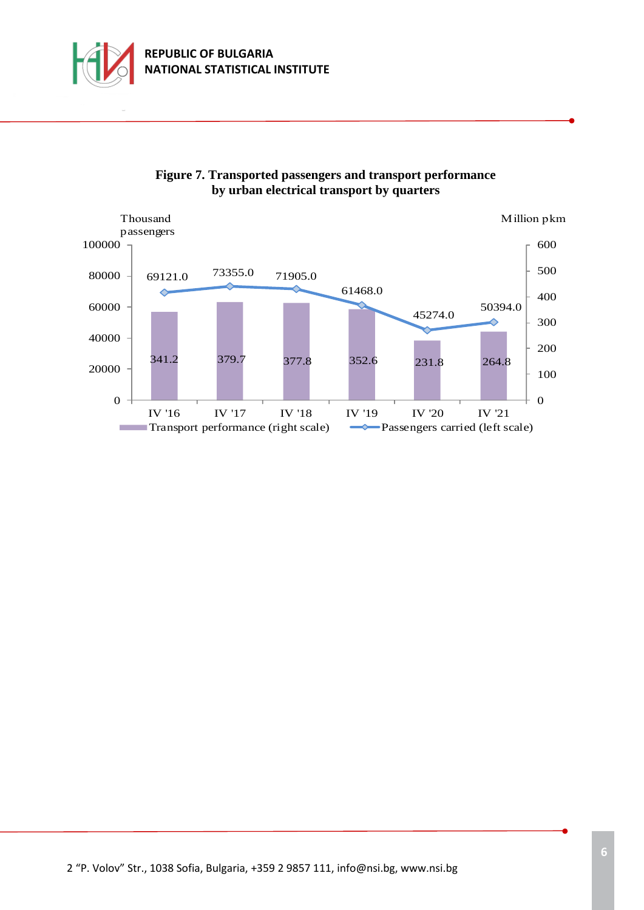



# **Figure 7. Transported passengers and transport performance by urban electrical transport by quarters**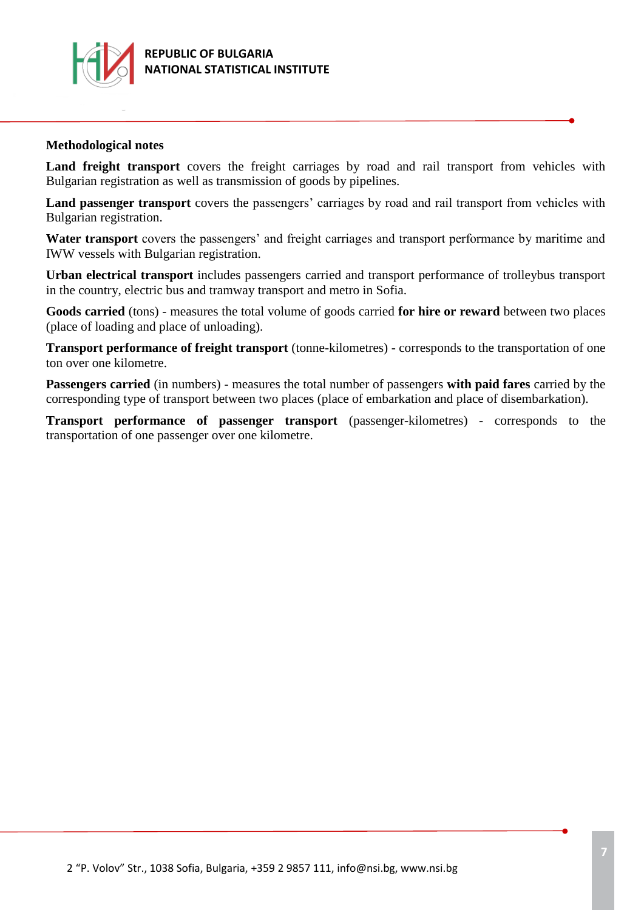

### **Methodological notes**

Land freight transport covers the freight carriages by road and rail transport from vehicles with Bulgarian registration as well as transmission of goods by pipelines.

**Land passenger transport** covers the passengers' carriages by road and rail transport from vehicles with Bulgarian registration.

**Water transport** covers the passengers' and freight carriages and transport performance by maritime and IWW vessels with Bulgarian registration.

**Urban electrical transport** includes passengers carried and transport performance of trolleybus transport in the country, electric bus and tramway transport and metro in Sofia.

**Goods carried** (tons) - measures the total volume of goods carried **for hire or reward** between two places (place of loading and place of unloading).

**Transport performance of freight transport** (tonne-kilometres) - corresponds to the transportation of one ton over one kilometre.

**Passengers carried** (in numbers) - measures the total number of passengers **with paid fares** carried by the corresponding type of transport between two places (place of embarkation and place of disembarkation).

**Transport performance of passenger transport** (passenger-kilometres) - corresponds to the transportation of one passenger over one kilometre.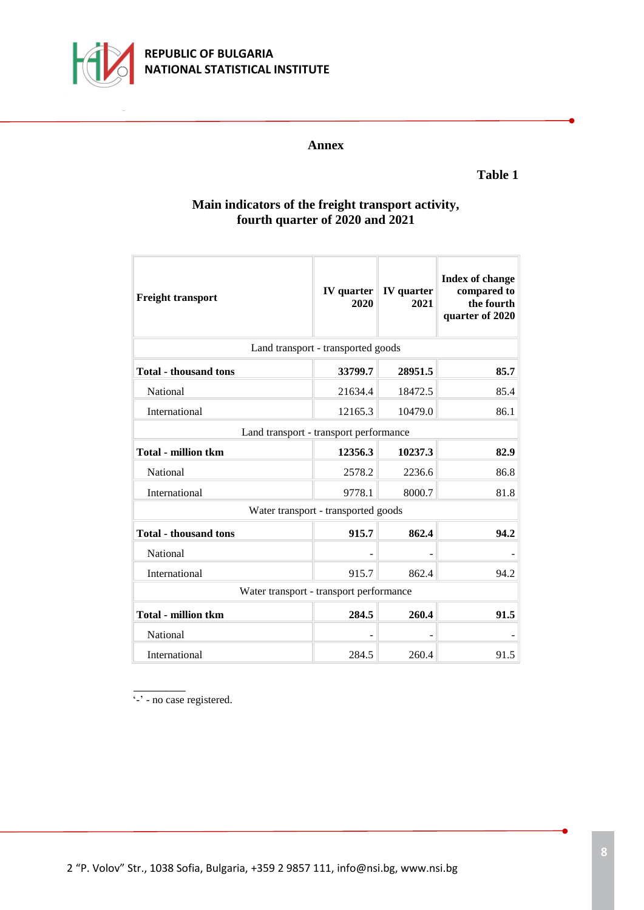

# **REPUBLIC OF BULGARIA NATIONAL STATISTICAL INSTITUTE**

#### **Annex**

# **Table 1**

## **Main indicators of the freight transport activity, fourth quarter of 2020 and 2021**

| <b>Freight transport</b>                | IV quarter<br>2020 | <b>IV</b> quarter<br>2021 | <b>Index of change</b><br>compared to<br>the fourth<br>quarter of 2020 |  |  |
|-----------------------------------------|--------------------|---------------------------|------------------------------------------------------------------------|--|--|
| Land transport - transported goods      |                    |                           |                                                                        |  |  |
| <b>Total - thousand tons</b>            | 33799.7            | 28951.5                   | 85.7                                                                   |  |  |
| National                                | 21634.4            | 18472.5                   | 85.4                                                                   |  |  |
| International                           | 12165.3            | 10479.0                   | 86.1                                                                   |  |  |
| Land transport - transport performance  |                    |                           |                                                                        |  |  |
| <b>Total - million tkm</b>              | 12356.3            | 10237.3                   | 82.9                                                                   |  |  |
| <b>National</b>                         | 2578.2             | 2236.6                    | 86.8                                                                   |  |  |
| International                           | 9778.1             | 8000.7                    | 81.8                                                                   |  |  |
| Water transport - transported goods     |                    |                           |                                                                        |  |  |
| <b>Total - thousand tons</b>            | 915.7              | 862.4                     | 94.2                                                                   |  |  |
| National                                |                    |                           |                                                                        |  |  |
| International                           | 915.7              | 862.4                     | 94.2                                                                   |  |  |
| Water transport - transport performance |                    |                           |                                                                        |  |  |
| <b>Total - million tkm</b>              | 284.5              | 260.4                     | 91.5                                                                   |  |  |
| National                                |                    |                           |                                                                        |  |  |
| International                           | 284.5              | 260.4                     | 91.5                                                                   |  |  |

\_\_\_\_\_\_\_\_ '-' - no case registered.